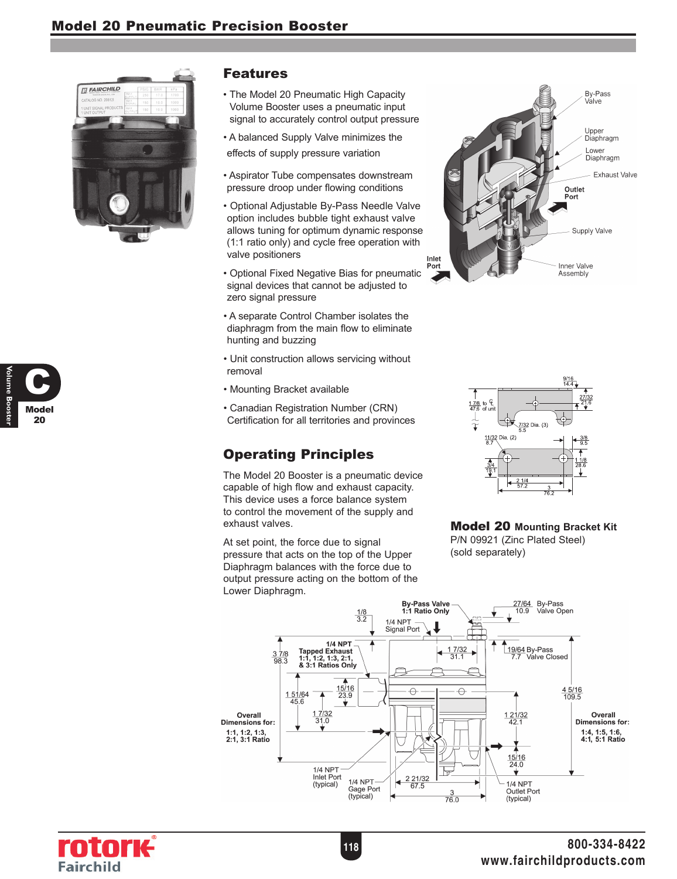

## Model 20 C **Volume Booster**

#### Features

- The Model 20 Pneumatic High Capacity Volume Booster uses a pneumatic input signal to accurately control output pressure
- A balanced Supply Valve minimizes the effects of supply pressure variation
- Aspirator Tube compensates downstream pressure droop under flowing conditions
- Optional Adjustable By-Pass Needle Valve option includes bubble tight exhaust valve allows tuning for optimum dynamic response (1:1 ratio only) and cycle free operation with valve positioners
- Optional Fixed Negative Bias for pneumatic signal devices that cannot be adjusted to zero signal pressure
- A separate Control Chamber isolates the diaphragm from the main flow to eliminate hunting and buzzing
- Unit construction allows servicing without removal
- Mounting Bracket available
- Canadian Registration Number (CRN) Certification for all territories and provinces

# Operating Principles

The Model 20 Booster is a pneumatic device capable of high flow and exhaust capacity. This device uses a force balance system to control the movement of the supply and exhaust valves.

At set point, the force due to signal pressure that acts on the top of the Upper Diaphragm balances with the force due to output pressure acting on the bottom of the Lower Diaphragm.





#### Model 20 **Mounting Bracket Kit**

P/N 09921 (Zinc Plated Steel) (sold separately)